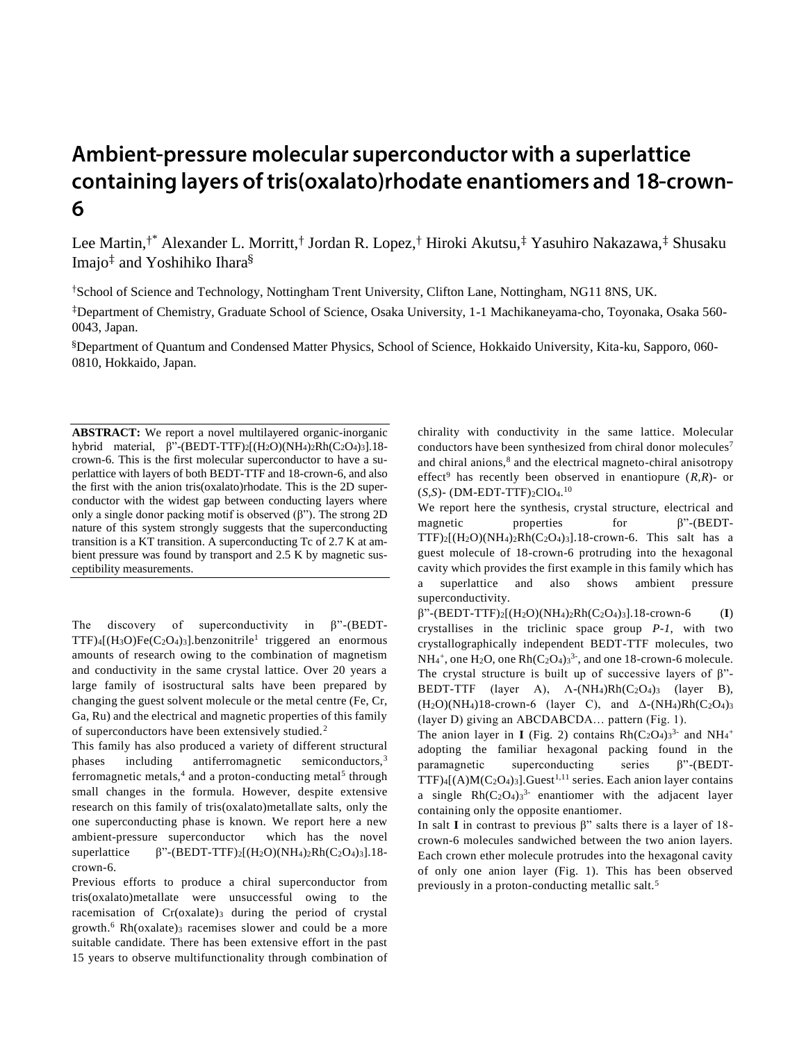# Ambient-pressure molecular superconductor with a superlattice containing layers of tris(oxalato)rhodate enantiomers and 18-crown-6

Lee Martin,†\* Alexander L. Morritt,† Jordan R. Lopez,† Hiroki Akutsu,‡ Yasuhiro Nakazawa,‡ Shusaku Imajo<sup>‡</sup> and Yoshihiko Ihara<sup>§</sup>

†School of Science and Technology, Nottingham Trent University, Clifton Lane, Nottingham, NG11 8NS, UK.

‡Department of Chemistry, Graduate School of Science, Osaka University, 1-1 Machikaneyama-cho, Toyonaka, Osaka 560- 0043, Japan.

§Department of Quantum and Condensed Matter Physics, School of Science, Hokkaido University, Kita-ku, Sapporo, 060- 0810, Hokkaido, Japan.

**ABSTRACT:** We report a novel multilayered organic-inorganic hybrid material, β"-(BEDT-TTF)<sub>2</sub>[(H<sub>2</sub>O)(NH<sub>4</sub>)<sub>2</sub>Rh(C<sub>2</sub>O<sub>4</sub>)<sub>3</sub>].18crown-6. This is the first molecular superconductor to have a superlattice with layers of both BEDT-TTF and 18-crown-6, and also the first with the anion tris(oxalato)rhodate. This is the 2D superconductor with the widest gap between conducting layers where only a single donor packing motif is observed  $(\beta'')$ . The strong 2D nature of this system strongly suggests that the superconducting transition is a KT transition. A superconducting Tc of 2.7 K at ambient pressure was found by transport and 2.5 K by magnetic susceptibility measurements.

The discovery of superconductivity in β"-(BEDT-TTF)4[ $(H_3O)Fe(C_2O_4)$ <sub>3</sub>].benzonitrile<sup>1</sup> triggered an enormous amounts of research owing to the combination of magnetism and conductivity in the same crystal lattice. Over 20 years a large family of isostructural salts have been prepared by changing the guest solvent molecule or the metal centre (Fe, Cr, Ga, Ru) and the electrical and magnetic properties of this family of superconductors have been extensively studied. <sup>2</sup>

This family has also produced a variety of different structural phases including antiferromagnetic semiconductors,<sup>3</sup> ferromagnetic metals,<sup>4</sup> and a proton-conducting metal<sup>5</sup> through small changes in the formula. However, despite extensive research on this family of tris(oxalato)metallate salts, only the one superconducting phase is known. We report here a new ambient-pressure superconductor which has the novel superlattice  $\beta$ "-(BEDT-TTF)<sub>2</sub>[(H<sub>2</sub>O)(NH<sub>4</sub>)<sub>2</sub>Rh(C<sub>2</sub>O<sub>4</sub>)<sub>3</sub>].18crown-6.

Previous efforts to produce a chiral superconductor from tris(oxalato)metallate were unsuccessful owing to the racemisation of Cr(oxalate)<sub>3</sub> during the period of crystal growth.<sup>6</sup> Rh(oxalate)<sub>3</sub> racemises slower and could be a more suitable candidate. There has been extensive effort in the past 15 years to observe multifunctionality through combination of chirality with conductivity in the same lattice. Molecular conductors have been synthesized from chiral donor molecules<sup>7</sup> and chiral anions,<sup>8</sup> and the electrical magneto-chiral anisotropy effect<sup>9</sup> has recently been observed in enantiopure  $(R, R)$ - or (*S,S*)- (DM-EDT-TTF)2ClO4. 10

We report here the synthesis, crystal structure, electrical and magnetic properties for  $\beta$ "-(BEDT- $TTF)_{2}[(H_{2}O)(NH_{4})_{2}Rh(C_{2}O_{4})_{3}]$ .18-crown-6. This salt has a guest molecule of 18-crown-6 protruding into the hexagonal cavity which provides the first example in this family which has a superlattice and also shows ambient pressure superconductivity.

β"-(BEDT-TTF)2[(H2O)(NH4)2Rh(C2O4)3].18-crown-6 (**I**) crystallises in the triclinic space group *P-1*, with two crystallographically independent BEDT-TTF molecules, two  $NH_4^+$ , one  $H_2O$ , one  $Rh(C_2O_4)3^3$ <sup>-</sup>, and one 18-crown-6 molecule. The crystal structure is built up of successive layers of  $\beta$ "-BEDT-TTF (layer A),  $\Lambda$ -(NH<sub>4</sub>)Rh(C<sub>2</sub>O<sub>4</sub>)<sub>3</sub> (layer B),  $(H_2O)(NH_4)18$ -crown-6 (layer C), and  $\Delta$ -(NH<sub>4</sub>)Rh(C<sub>2</sub>O<sub>4</sub>)<sub>3</sub> (layer D) giving an ABCDABCDA… pattern (Fig. 1).

The anion layer in **I** (Fig. 2) contains  $Rh(C_2O_4)_{3}^{3-}$  and  $NH_4$ <sup>+</sup> adopting the familiar hexagonal packing found in the paramagnetic superconducting series β"-(BEDT- $TTF)$ 4[(A)M(C<sub>2</sub>O<sub>4</sub>)<sub>3</sub>]. Guest<sup>1,11</sup> series. Each anion layer contains a single  $Rh(C_2O_4)_{3}^{3}$  enantiomer with the adjacent layer containing only the opposite enantiomer.

In salt **I** in contrast to previous β" salts there is a layer of 18 crown-6 molecules sandwiched between the two anion layers. Each crown ether molecule protrudes into the hexagonal cavity of only one anion layer (Fig. 1). This has been observed previously in a proton-conducting metallic salt.5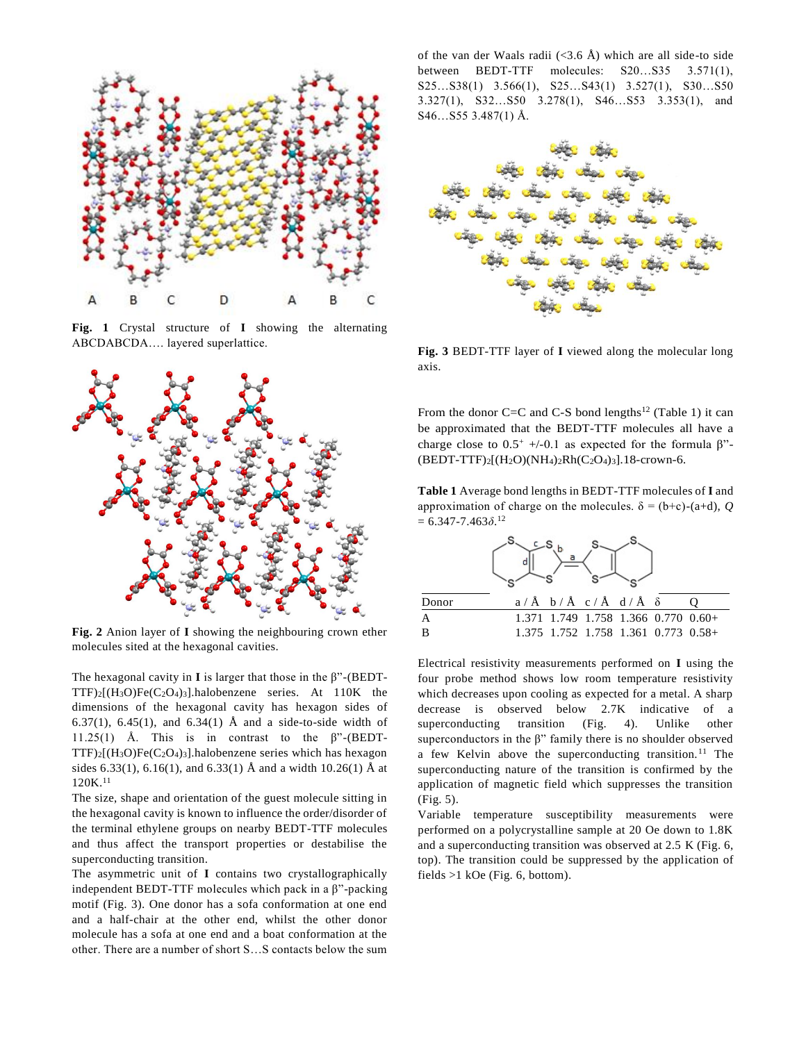

**Fig. 1** Crystal structure of **I** showing the alternating ABCDABCDA…. layered superlattice.



**Fig. 2** Anion layer of **I** showing the neighbouring crown ether molecules sited at the hexagonal cavities.

The hexagonal cavity in **I** is larger that those in the β"-(BEDT- $TTF)_{2}[(H_{3}O)Fe(C_{2}O_{4})_{3}]$ .halobenzene series. At 110K the dimensions of the hexagonal cavity has hexagon sides of 6.37(1), 6.45(1), and 6.34(1) Å and a side-to-side width of 11.25(1) Å. This is in contrast to the  $\beta$ "-(BEDT- $TTF)_{2}[(H_{3}O)Fe(C_{2}O_{4})_{3}]$ .halobenzene series which has hexagon sides 6.33(1), 6.16(1), and 6.33(1) Å and a width 10.26(1) Å at 120K.<sup>11</sup>

The size, shape and orientation of the guest molecule sitting in the hexagonal cavity is known to influence the order/disorder of the terminal ethylene groups on nearby BEDT-TTF molecules and thus affect the transport properties or destabilise the superconducting transition.

The asymmetric unit of **I** contains two crystallographically independent BEDT-TTF molecules which pack in a β"-packing motif (Fig. 3). One donor has a sofa conformation at one end and a half-chair at the other end, whilst the other donor molecule has a sofa at one end and a boat conformation at the other. There are a number of short S…S contacts below the sum

of the van der Waals radii  $(\leq 3.6 \text{ Å})$  which are all side-to side between BEDT-TTF molecules: S20…S35 3.571(1), S25…S38(1) 3.566(1), S25…S43(1) 3.527(1), S30…S50 3.327(1), S32…S50 3.278(1), S46…S53 3.353(1), and S46…S55 3.487(1) Å.



**Fig. 3** BEDT-TTF layer of **I** viewed along the molecular long axis.

From the donor  $C=C$  and  $C-S$  bond lengths<sup>12</sup> (Table 1) it can be approximated that the BEDT-TTF molecules all have a charge close to  $0.5^+$  +/-0.1 as expected for the formula  $\beta$ "- $(BEDT-TTF)_{2}[(H_{2}O)(NH_{4})_{2}Rh(C_{2}O_{4})_{3}]$ .18-crown-6.

**Table 1** Average bond lengths in BEDT-TTF molecules of **I** and approximation of charge on the molecules.  $\delta = (b+c)-(a+d)$ , *Q*  $= 6.347 - 7.463 \delta^{12}$ 

| Donor | $a/\text{Å}$ b/Å c/Å d/Å $\delta$   |  |  |  |
|-------|-------------------------------------|--|--|--|
| A     | 1.371 1.749 1.758 1.366 0.770 0.60+ |  |  |  |
| B     | 1.375 1.752 1.758 1.361 0.773 0.58+ |  |  |  |

Electrical resistivity measurements performed on **I** using the four probe method shows low room temperature resistivity which decreases upon cooling as expected for a metal. A sharp decrease is observed below 2.7K indicative of a superconducting transition (Fig. 4). Unlike other superconductors in the β" family there is no shoulder observed a few Kelvin above the superconducting transition.<sup>11</sup> The superconducting nature of the transition is confirmed by the application of magnetic field which suppresses the transition (Fig. 5).

Variable temperature susceptibility measurements were performed on a polycrystalline sample at 20 Oe down to 1.8K and a superconducting transition was observed at 2.5 K (Fig. 6, top). The transition could be suppressed by the application of fields >1 kOe (Fig. 6, bottom).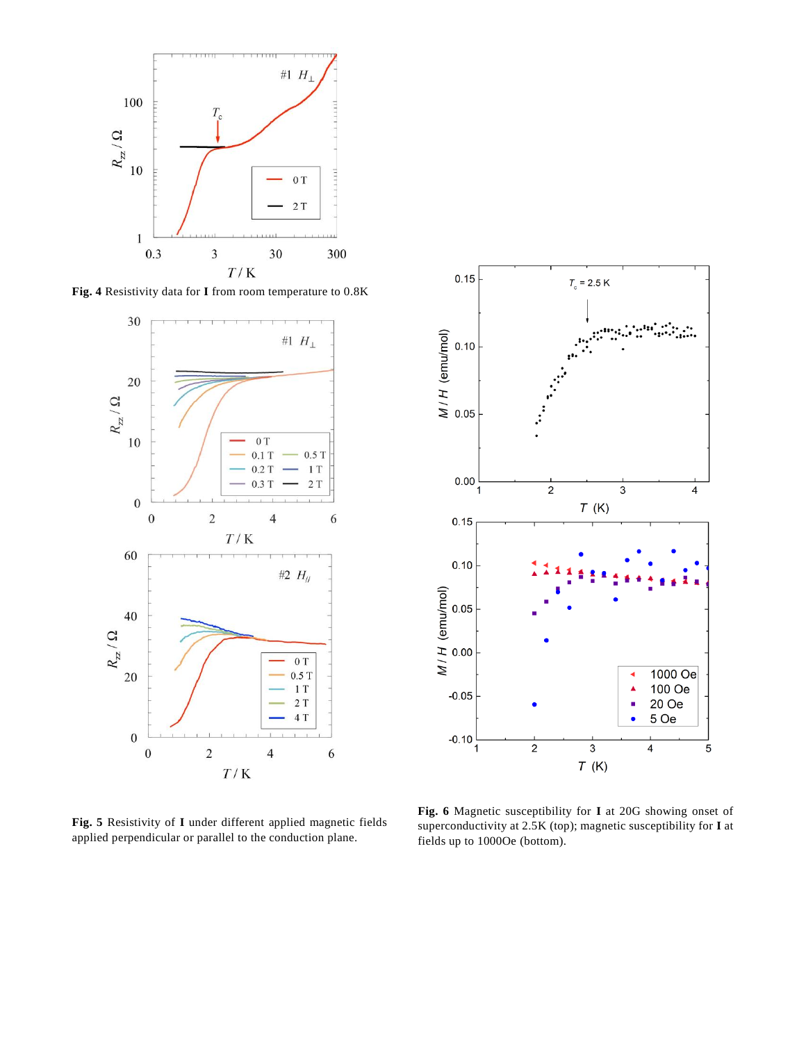

**Fig. 4** Resistivity data for **I** from room temperature to 0.8K



**Fig. 5** Resistivity of **I** under different applied magnetic fields applied perpendicular or parallel to the conduction plane.



**Fig. 6** Magnetic susceptibility for **I** at 20G showing onset of superconductivity at 2.5K (top); magnetic susceptibility for **I** at fields up to 1000Oe (bottom).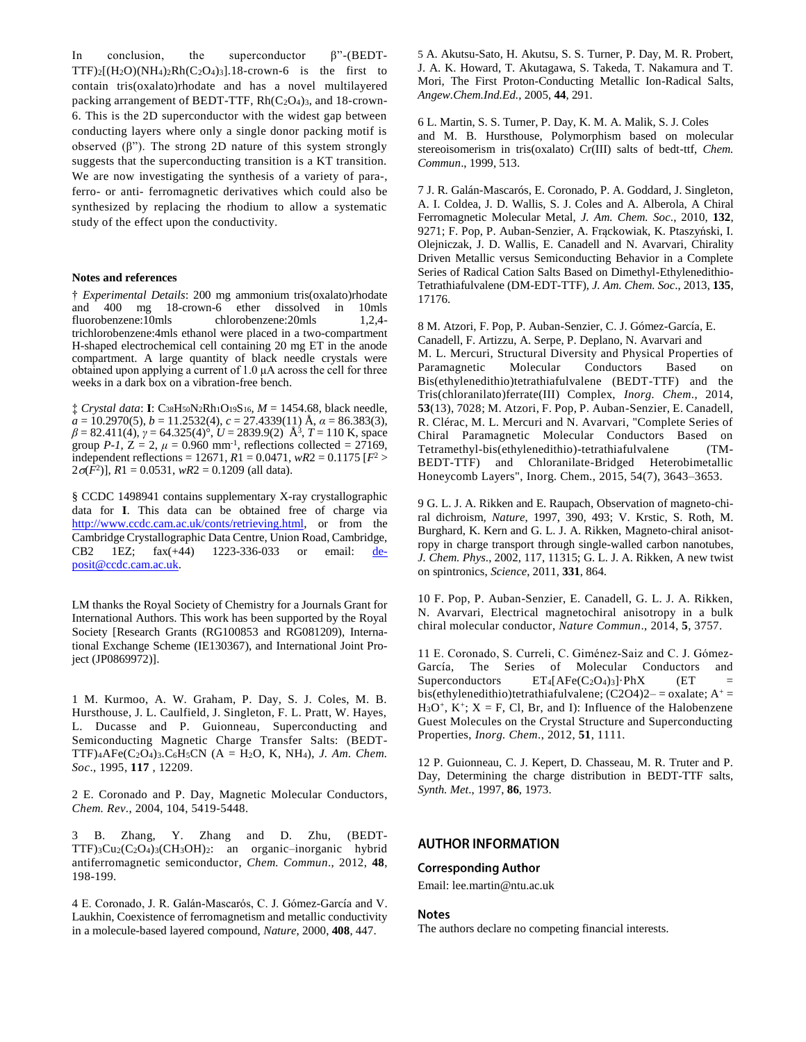In conclusion, the superconductor β"-(BEDT-TTF) $2[(H_2O)(NH_4)2Rh(C_2O_4)3].18-crown-6 is the first to$ contain tris(oxalato)rhodate and has a novel multilayered packing arrangement of BEDT-TTF,  $Rh(C_2O_4)_{3}$ , and 18-crown-6. This is the 2D superconductor with the widest gap between conducting layers where only a single donor packing motif is observed  $(β$ "). The strong 2D nature of this system strongly suggests that the superconducting transition is a KT transition. We are now investigating the synthesis of a variety of para-, ferro- or anti- ferromagnetic derivatives which could also be synthesized by replacing the rhodium to allow a systematic study of the effect upon the conductivity.

## **Notes and references**

† *Experimental Details*: 200 mg ammonium tris(oxalato)rhodate and 400 mg 18-crown-6 ether dissolved in 10mls fluorobenzene:10mls chlorobenzene:20mls 1,2,4 trichlorobenzene:4mls ethanol were placed in a two-compartment H-shaped electrochemical cell containing 20 mg ET in the anode compartment. A large quantity of black needle crystals were obtained upon applying a current of 1.0 μA across the cell for three weeks in a dark box on a vibration-free bench.

‡ *Crystal data*: **I**: C38H50N2Rh1O19S16, *M* = 1454.68, black needle,  $a = 10.2970(5)$ ,  $b = 11.2532(4)$ ,  $c = 27.4339(11)$  Å,  $a = 86.383(3)$ ,  $\beta = 82.411(4)$ ,  $\gamma = 64.325(4)$ °,  $U = 2839.9(2)$   $\AA$ <sup>3</sup>,  $T = 110$  K, space group *P-1*,  $Z = 2$ ,  $\mu = 0.960$  mm<sup>-1</sup>, reflections collected = 27169, independent reflections = 12671,  $R1 = 0.0471$ ,  $wR2 = 0.1175$  [ $F<sup>2</sup>$ )  $2\sigma(\bar{F}^2)$ ], *R*1 = 0.0531, *wR*2 = 0.1209 (all data).

§ CCDC 1498941 contains supplementary X-ray crystallographic data for **I**. This data can be obtained free of charge via [http://www.ccdc.cam.ac.uk/conts/retrieving.html,](http://www.ccdc.cam.ac.uk/conts/retrieving.html) or from the Cambridge Crystallographic Data Centre, Union Road, Cambridge, CB2 1EZ; fax(+44) 1223-336-033 or email: [de](mailto:deposit@ccdc.cam.ac.uk)[posit@ccdc.cam.ac.uk.](mailto:deposit@ccdc.cam.ac.uk)

LM thanks the Royal Society of Chemistry for a Journals Grant for International Authors. This work has been supported by the Royal Society [Research Grants (RG100853 and RG081209), International Exchange Scheme (IE130367), and International Joint Project (JP0869972)].

1 M. Kurmoo, A. W. Graham, P. Day, S. J. Coles, M. B. Hursthouse, J. L. Caulfield, J. Singleton, F. L. Pratt, W. Hayes, L. Ducasse and P. Guionneau, Superconducting and Semiconducting Magnetic Charge Transfer Salts: (BEDT-TTF)4AFe(C2O4)3.C6H5CN (A = H2O, K, NH4), *J. Am. Chem. Soc*., 1995, **117** , 12209.

2 E. Coronado and P. Day, Magnetic Molecular Conductors, *Chem. Rev*., 2004, 104, 5419-5448.

3 B. Zhang, Y. Zhang and D. Zhu, (BEDT-TTF)3Cu2(C2O4)3(CH3OH)2: an organic–inorganic hybrid antiferromagnetic semiconductor, *Chem. Commun*., 2012, **48**, 198-199.

4 E. Coronado, J. R. Galán-Mascarós, C. J. Gómez-García and V. Laukhin, Coexistence of ferromagnetism and metallic conductivity in a molecule-based layered compound, *Nature*, 2000, **408**, 447.

5 A. Akutsu-Sato, H. Akutsu, S. S. Turner, P. Day, M. R. Probert, J. A. K. Howard, T. Akutagawa, S. Takeda, T. Nakamura and T. Mori, The First Proton-Conducting Metallic Ion-Radical Salts, *Angew.Chem.Ind.Ed.,* 2005, **44**, 291.

6 L. Martin, S. S. Turner, P. Day, K. M. A. Malik, S. J. Coles and M. B. Hursthouse, Polymorphism based on molecular stereoisomerism in tris(oxalato) Cr(III) salts of bedt-ttf, *Chem. Commun*., 1999, 513.

7 J. R. Galán-Mascarós, E. Coronado, P. A. Goddard, J. Singleton, A. I. Coldea, J. D. Wallis, S. J. Coles and A. Alberola, A Chiral Ferromagnetic Molecular Metal, *J. Am. Chem. Soc*., 2010, **132**, 9271; F. Pop, P. Auban-Senzier, A. Frąckowiak, K. Ptaszyński, I. Olejniczak, J. D. Wallis, E. Canadell and N. Avarvari, Chirality Driven Metallic versus Semiconducting Behavior in a Complete Series of Radical Cation Salts Based on Dimethyl-Ethylenedithio-Tetrathiafulvalene (DM-EDT-TTF), *J. Am. Chem. Soc*., 2013, **135**, 17176.

8 M. Atzori, F. Pop, P. Auban-Senzier, C. J. Gómez-García, E. Canadell, F. Artizzu, A. Serpe, P. Deplano, N. Avarvari and M. L. Mercuri, Structural Diversity and Physical Properties of Paramagnetic Molecular Conductors Based on Bis(ethylenedithio)tetrathiafulvalene (BEDT-TTF) and the Tris(chloranilato)ferrate(III) Complex, *Inorg. Chem*., 2014, **53**(13), 7028; M. Atzori, F. Pop, P. Auban-Senzier, E. Canadell, R. Clérac, M. L. Mercuri and N. Avarvari, "Complete Series of Chiral Paramagnetic Molecular Conductors Based on Tetramethyl-bis(ethylenedithio)-tetrathiafulvalene (TM-BEDT-TTF) and Chloranilate-Bridged Heterobimetallic Honeycomb Layers", Inorg. Chem., 2015, 54(7), 3643–3653.

9 G. L. J. A. Rikken and E. Raupach, Observation of magneto-chiral dichroism, *Nature*, 1997, 390, 493; V. Krstic, S. Roth, M. Burghard, K. Kern and G. L. J. A. Rikken, Magneto-chiral anisotropy in charge transport through single-walled carbon nanotubes, *J. Chem. Phys*., 2002, 117, 11315; G. L. J. A. Rikken, A new twist on spintronics, *Science*, 2011, **331**, 864.

10 F. Pop, P. Auban-Senzier, E. Canadell, G. L. J. A. Rikken, N. Avarvari, Electrical magnetochiral anisotropy in a bulk chiral molecular conductor, *Nature Commun*., 2014, **5**, 3757.

11 E. Coronado, S. Curreli, C. Giménez-Saiz and C. J. Gómez-García, The Series of Molecular Conductors and Superconductors  $ET_4[AFe(C_2O_4)_3]$ ·PhX (ET bis(ethylenedithio)tetrathiafulvalene; (C2O4)2- = oxalate;  $A^+$  =  $H_3O^+$ ,  $K^+$ ;  $X = F$ , Cl, Br, and I): Influence of the Halobenzene Guest Molecules on the Crystal Structure and Superconducting Properties, *Inorg. Chem*., 2012, **51**, 1111.

12 P. Guionneau, C. J. Kepert, D. Chasseau, M. R. Truter and P. Day, Determining the charge distribution in BEDT-TTF salts, *Synth. Met*., 1997, **86**, 1973.

## **AUTHOR INFORMATION**

### **Corresponding Author**

Email: lee.martin@ntu.ac.uk

### **Notes**

The authors declare no competing financial interests.